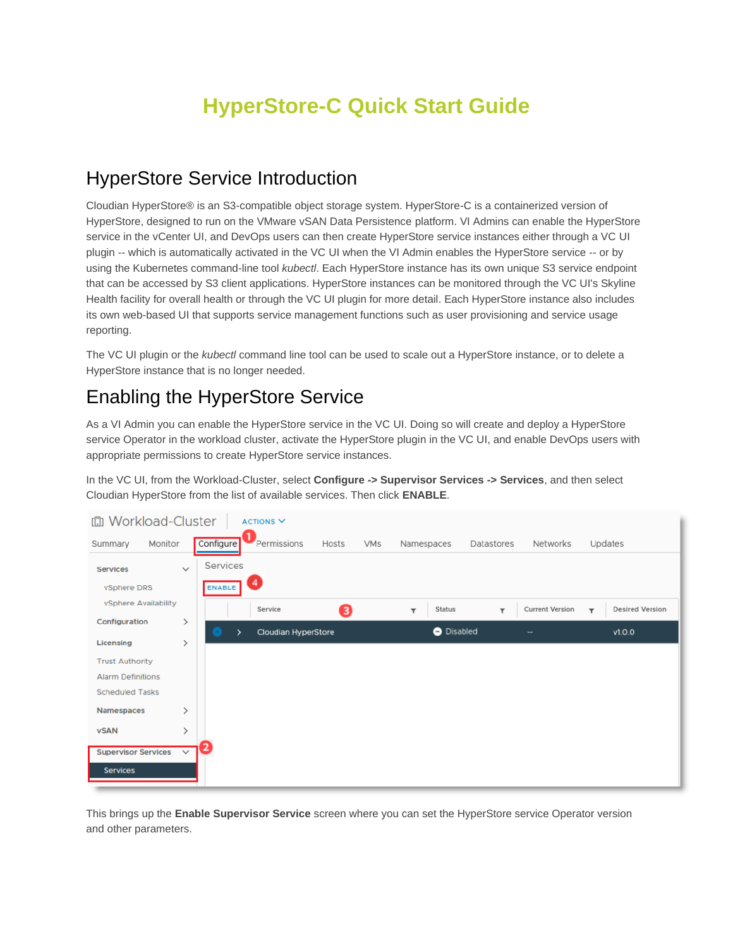# **HyperStore-C Quick Start Guide**

## HyperStore Service Introduction

Cloudian HyperStore® is an S3-compatible object storage system. HyperStore-C is a containerized version of HyperStore, designed to run on the VMware vSAN Data Persistence platform. VI Admins can enable the HyperStore service in the vCenter UI, and DevOps users can then create HyperStore service instances either through a VC UI plugin -- which is automatically activated in the VC UI when the VI Admin enables the HyperStore service -- or by using the Kubernetes command-line tool *kubectl*. Each HyperStore instance has its own unique S3 service endpoint that can be accessed by S3 client applications. HyperStore instances can be monitored through the VC UI's Skyline Health facility for overall health or through the VC UI plugin for more detail. Each HyperStore instance also includes its own web-based UI that supports service management functions such as user provisioning and service usage reporting.

The VC UI plugin or the *kubectl* command line tool can be used to scale out a HyperStore instance, or to delete a HyperStore instance that is no longer needed.

## Enabling the HyperStore Service

As a VI Admin you can enable the HyperStore service in the VC UI. Doing so will create and deploy a HyperStore service Operator in the workload cluster, activate the HyperStore plugin in the VC UI, and enable DevOps users with appropriate permissions to create HyperStore service instances.

In the VC UI, from the Workload-Cluster, select **Configure -> Supervisor Services -> Services**, and then select Cloudian HyperStore from the list of available services. Then click **ENABLE**.



This brings up the **Enable Supervisor Service** screen where you can set the HyperStore service Operator version and other parameters.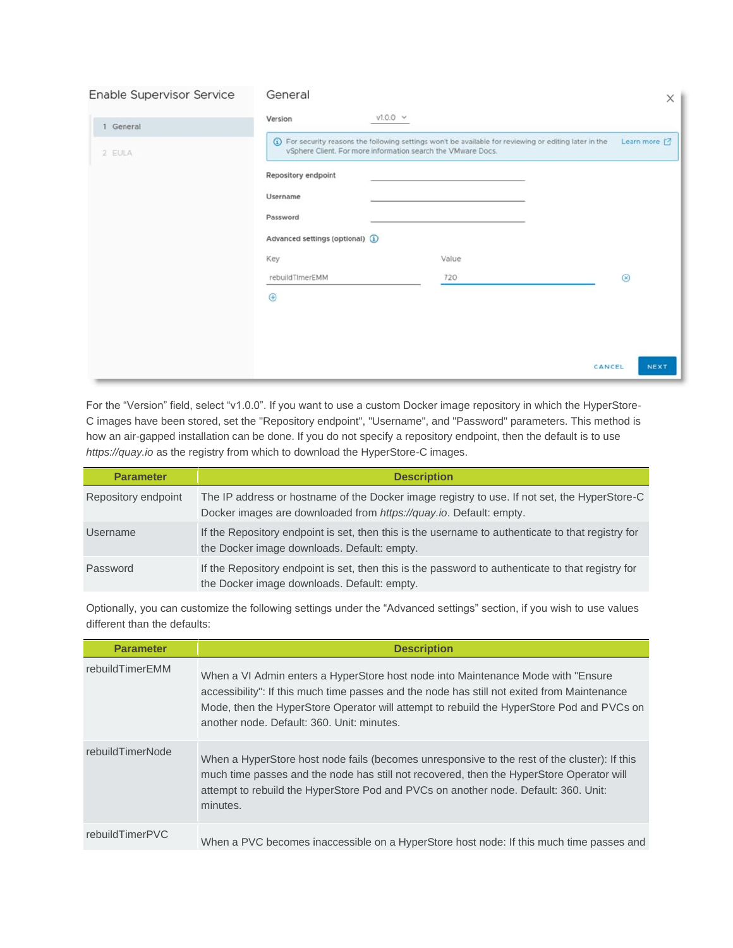| Enable Supervisor Service | General                          |                                                                                                                                                                        | $\times$       |
|---------------------------|----------------------------------|------------------------------------------------------------------------------------------------------------------------------------------------------------------------|----------------|
| 1 General                 | Version                          | $v1.0.0 \quad \vee$                                                                                                                                                    |                |
| 2 EULA                    |                                  | 1 For security reasons the following settings won't be available for reviewing or editing later in the<br>vSphere Client. For more information search the VMware Docs. | Learn more [2] |
|                           | Repository endpoint              |                                                                                                                                                                        |                |
|                           | Username                         |                                                                                                                                                                        |                |
|                           | Password                         |                                                                                                                                                                        |                |
|                           | Advanced settings (optional) (i) |                                                                                                                                                                        |                |
|                           | Key                              | Value                                                                                                                                                                  |                |
|                           | rebuildTImerEMM                  | 720                                                                                                                                                                    | $\circledast$  |
|                           | $\bigoplus$                      |                                                                                                                                                                        |                |
|                           |                                  |                                                                                                                                                                        |                |
|                           |                                  |                                                                                                                                                                        |                |
|                           |                                  | CANCEL                                                                                                                                                                 | NEXT           |

For the "Version" field, select "v1.0.0". If you want to use a custom Docker image repository in which the HyperStore-C images have been stored, set the "Repository endpoint", "Username", and "Password" parameters. This method is how an air-gapped installation can be done. If you do not specify a repository endpoint, then the default is to use *https://quay.io* as the registry from which to download the HyperStore-C images.

| <b>Parameter</b>    | <b>Description</b>                                                                                                                                                 |
|---------------------|--------------------------------------------------------------------------------------------------------------------------------------------------------------------|
| Repository endpoint | The IP address or hostname of the Docker image registry to use. If not set, the HyperStore-C<br>Docker images are downloaded from https://guay.io. Default: empty. |
| Username            | If the Repository endpoint is set, then this is the username to authenticate to that registry for<br>the Docker image downloads. Default: empty.                   |
| Password            | If the Repository endpoint is set, then this is the password to authenticate to that registry for<br>the Docker image downloads. Default: empty.                   |

Optionally, you can customize the following settings under the "Advanced settings" section, if you wish to use values different than the defaults:

| <b>Parameter</b> | <b>Description</b>                                                                                                                                                                                                                                                                                                          |
|------------------|-----------------------------------------------------------------------------------------------------------------------------------------------------------------------------------------------------------------------------------------------------------------------------------------------------------------------------|
| rebuildTimerEMM  | When a VI Admin enters a HyperStore host node into Maintenance Mode with "Ensure"<br>accessibility": If this much time passes and the node has still not exited from Maintenance<br>Mode, then the HyperStore Operator will attempt to rebuild the HyperStore Pod and PVCs on<br>another node. Default: 360. Unit: minutes. |
| rebuildTimerNode | When a HyperStore host node fails (becomes unresponsive to the rest of the cluster): If this<br>much time passes and the node has still not recovered, then the HyperStore Operator will<br>attempt to rebuild the HyperStore Pod and PVCs on another node. Default: 360. Unit:<br>minutes.                                 |
| rebuildTimerPVC  | When a PVC becomes inaccessible on a HyperStore host node: If this much time passes and                                                                                                                                                                                                                                     |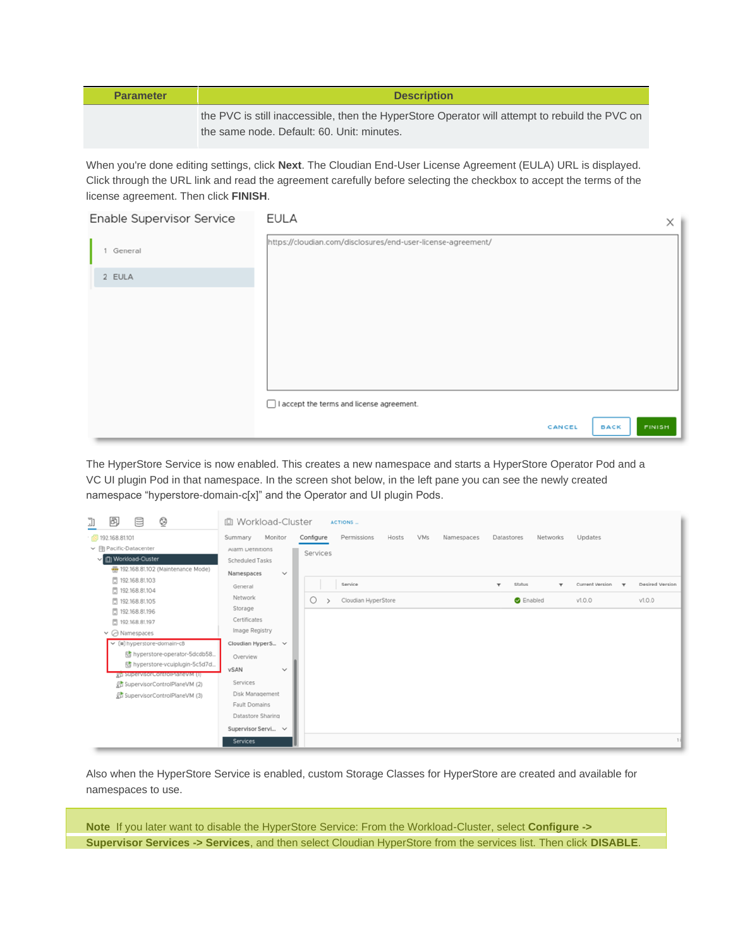| <b>Parameter</b> | <b>Description</b>                                                                                                                           |
|------------------|----------------------------------------------------------------------------------------------------------------------------------------------|
|                  | the PVC is still inaccessible, then the HyperStore Operator will attempt to rebuild the PVC on<br>the same node. Default: 60. Unit: minutes. |

When you're done editing settings, click **Next**. The Cloudian End-User License Agreement (EULA) URL is displayed. Click through the URL link and read the agreement carefully before selecting the checkbox to accept the terms of the license agreement. Then click **FINISH**.

| Enable Supervisor Service | <b>EULA</b>                                                  |        |             | $\times$      |
|---------------------------|--------------------------------------------------------------|--------|-------------|---------------|
| General<br>1.             | https://cloudian.com/disclosures/end-user-license-agreement/ |        |             |               |
| 2 EULA                    |                                                              |        |             |               |
|                           |                                                              |        |             |               |
|                           |                                                              |        |             |               |
|                           |                                                              |        |             |               |
|                           |                                                              |        |             |               |
|                           |                                                              |        |             |               |
|                           | □ I accept the terms and license agreement.                  |        |             |               |
|                           |                                                              | CANCEL | <b>BACK</b> | <b>FINISH</b> |

The HyperStore Service is now enabled. This creates a new namespace and starts a HyperStore Operator Pod and a VC UI plugin Pod in that namespace. In the screen shot below, in the left pane you can see the newly created namespace "hyperstore-domain-c[x]" and the Operator and UI plugin Pods.

| e<br>☺<br>闽<br>J)                    | 10 Workload-Cluster        |           | <b>ACTIONS</b>       |            |            |              |                  |              |                 |             |                 |
|--------------------------------------|----------------------------|-----------|----------------------|------------|------------|--------------|------------------|--------------|-----------------|-------------|-----------------|
| (8) 192.168.81.101                   | Monitor<br>Summary         | Configure | Permissions<br>Hosts | <b>VMs</b> | Namespaces | Datastores   | Networks         |              | Updates         |             |                 |
| ← (iii) Pacific-Datacenter           | Alarm Definitions          | Services  |                      |            |            |              |                  |              |                 |             |                 |
| V III) Workload-Cluster              | <b>Scheduled Tasks</b>     |           |                      |            |            |              |                  |              |                 |             |                 |
| 192.168.81.102 (Maintenance Mode)    | Namespaces<br>$\checkmark$ |           |                      |            |            |              |                  |              |                 |             |                 |
| □ 192.168.81.103                     | General                    |           | Service              |            |            | $\mathbf{v}$ | <b>Status</b>    | $\mathbf{v}$ | Current Version | $\mathbf w$ | Desired Version |
| □ 192.168.81.104                     | Network                    | $\circ$   | Cloudian HyperStore  |            |            |              | <b>B</b> Enabled |              | V1.0.0          |             | V1.0.0          |
| □ 192.168.81.105<br>□ 192.168.81.196 | Storage                    |           |                      |            |            |              |                  |              |                 |             |                 |
| □ 192.168.81.197                     | Certificates               |           |                      |            |            |              |                  |              |                 |             |                 |
| $\vee$ $\oslash$ Namespaces          | Image Registry             |           |                      |            |            |              |                  |              |                 |             |                 |
| $\vee$ (iii) hyperstore-domain-c8    | Cloudian HyperS v          |           |                      |            |            |              |                  |              |                 |             |                 |
| 时 hyperstore-operator-5dcdb58.       | Overview                   |           |                      |            |            |              |                  |              |                 |             |                 |
| 图 hyperstore-vcuiplugin-5c5d7d       | vSAN<br>$\checkmark$       |           |                      |            |            |              |                  |              |                 |             |                 |
| gy supervisor control rianevivi (i)  |                            |           |                      |            |            |              |                  |              |                 |             |                 |
| 凡 SupervisorControlPlaneVM (2)       | Services                   |           |                      |            |            |              |                  |              |                 |             |                 |
| 品 SupervisorControlPlaneVM (3)       | Disk Management            |           |                      |            |            |              |                  |              |                 |             |                 |
|                                      | Fault Domains              |           |                      |            |            |              |                  |              |                 |             |                 |
|                                      | Datastore Sharing          |           |                      |            |            |              |                  |              |                 |             |                 |
|                                      | Supervisor Servi v         |           |                      |            |            |              |                  |              |                 |             |                 |
|                                      | <b>Services</b>            |           |                      |            |            |              |                  |              |                 |             |                 |

Also when the HyperStore Service is enabled, custom Storage Classes for HyperStore are created and available for namespaces to use.

**Note** If you later want to disable the HyperStore Service: From the Workload-Cluster, select **Configure -> Supervisor Services -> Services**, and then select Cloudian HyperStore from the services list. Then click **DISABLE**.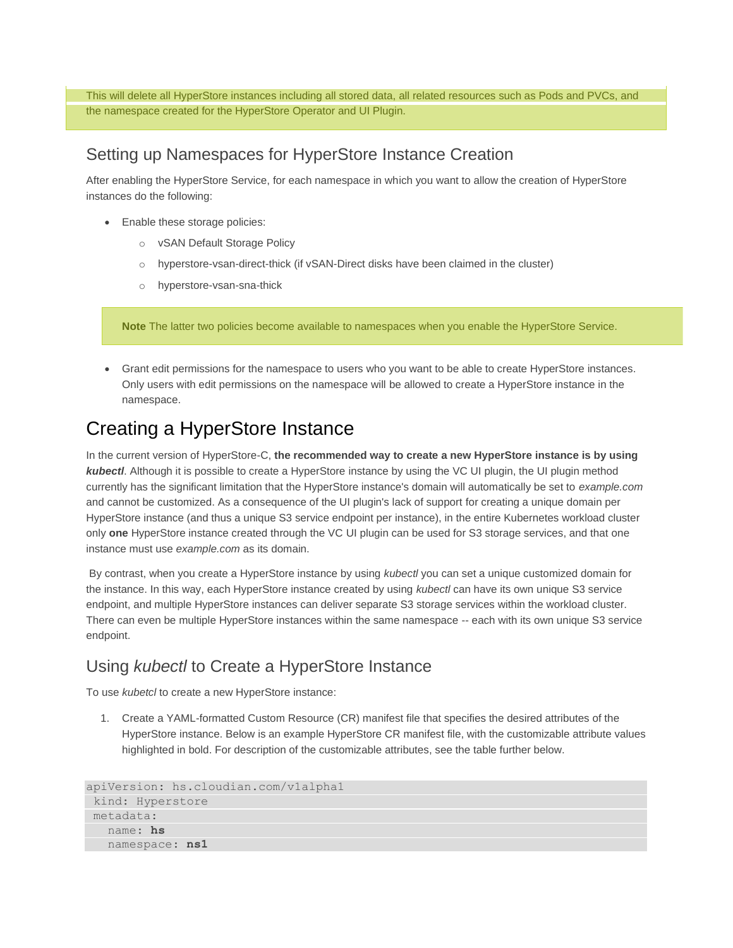This will delete all HyperStore instances including all stored data, all related resources such as Pods and PVCs, and the namespace created for the HyperStore Operator and UI Plugin.

#### Setting up Namespaces for HyperStore Instance Creation

After enabling the HyperStore Service, for each namespace in which you want to allow the creation of HyperStore instances do the following:

- Enable these storage policies:
	- o vSAN Default Storage Policy
	- o hyperstore-vsan-direct-thick (if vSAN-Direct disks have been claimed in the cluster)
	- o hyperstore-vsan-sna-thick

**Note** The latter two policies become available to namespaces when you enable the HyperStore Service.

• Grant edit permissions for the namespace to users who you want to be able to create HyperStore instances. Only users with edit permissions on the namespace will be allowed to create a HyperStore instance in the namespace.

## Creating a HyperStore Instance

In the current version of HyperStore-C, **the recommended way to create a new HyperStore instance is by using**  *kubectl*. Although it is possible to create a HyperStore instance by using the VC UI plugin, the UI plugin method currently has the significant limitation that the HyperStore instance's domain will automatically be set to *example.com* and cannot be customized. As a consequence of the UI plugin's lack of support for creating a unique domain per HyperStore instance (and thus a unique S3 service endpoint per instance), in the entire Kubernetes workload cluster only **one** HyperStore instance created through the VC UI plugin can be used for S3 storage services, and that one instance must use *example.com* as its domain.

By contrast, when you create a HyperStore instance by using *kubectl* you can set a unique customized domain for the instance. In this way, each HyperStore instance created by using *kubectl* can have its own unique S3 service endpoint, and multiple HyperStore instances can deliver separate S3 storage services within the workload cluster. There can even be multiple HyperStore instances within the same namespace -- each with its own unique S3 service endpoint.

### Using *kubectl* to Create a HyperStore Instance

To use *kubetcl* to create a new HyperStore instance:

1. Create a YAML-formatted Custom Resource (CR) manifest file that specifies the desired attributes of the HyperStore instance. Below is an example HyperStore CR manifest file, with the customizable attribute values highlighted in bold. For description of the customizable attributes, see the table further below.

```
apiVersion: hs.cloudian.com/v1alpha1
kind: Hyperstore
metadata:
   name: hs 
   namespace: ns1
```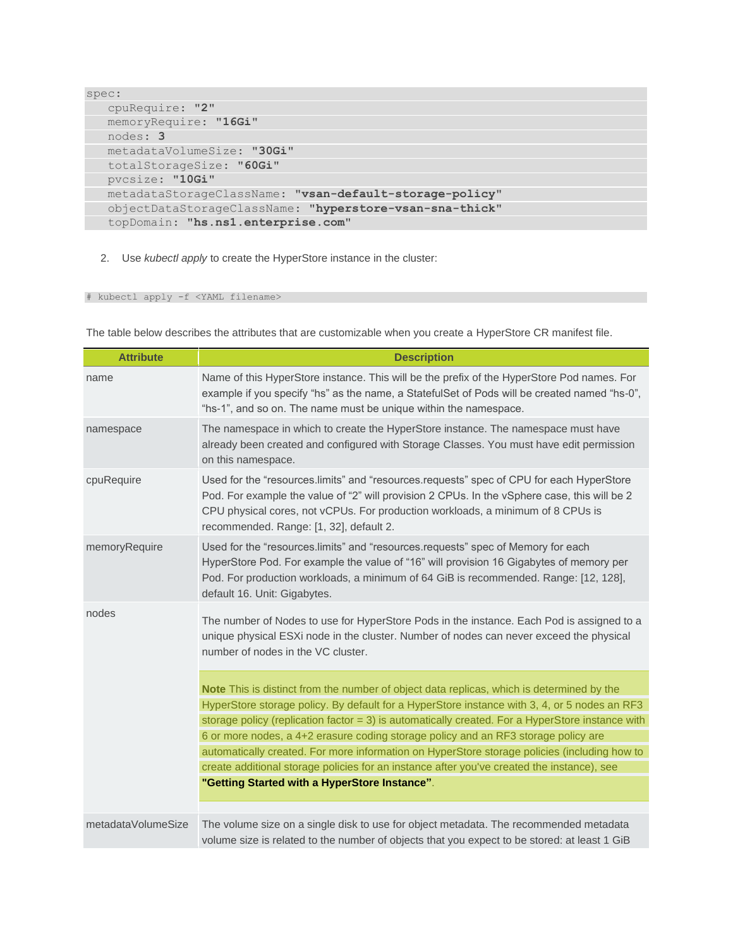```
spec:
   cpuRequire: "2" 
   memoryRequire: "16Gi" 
   nodes: 3 
   metadataVolumeSize: "30Gi" 
   totalStorageSize: "60Gi" 
   pvcsize: "10Gi" 
   metadataStorageClassName: "vsan-default-storage-policy" 
    objectDataStorageClassName: "hyperstore-vsan-sna-thick" 
   topDomain: "hs.ns1.enterprise.com"
```
2. Use *kubectl apply* to create the HyperStore instance in the cluster:

#### # kubectl apply -f <YAML filename>

The table below describes the attributes that are customizable when you create a HyperStore CR manifest file.

| <b>Attribute</b>   | <b>Description</b>                                                                                                                                                                                                                                                                                                     |
|--------------------|------------------------------------------------------------------------------------------------------------------------------------------------------------------------------------------------------------------------------------------------------------------------------------------------------------------------|
| name               | Name of this HyperStore instance. This will be the prefix of the HyperStore Pod names. For<br>example if you specify "hs" as the name, a StatefulSet of Pods will be created named "hs-0",<br>"hs-1", and so on. The name must be unique within the namespace.                                                         |
| namespace          | The namespace in which to create the HyperStore instance. The namespace must have<br>already been created and configured with Storage Classes. You must have edit permission<br>on this namespace.                                                                                                                     |
| cpuRequire         | Used for the "resources.limits" and "resources.requests" spec of CPU for each HyperStore<br>Pod. For example the value of "2" will provision 2 CPUs. In the vSphere case, this will be 2<br>CPU physical cores, not vCPUs. For production workloads, a minimum of 8 CPUs is<br>recommended. Range: [1, 32], default 2. |
| memoryRequire      | Used for the "resources.limits" and "resources.requests" spec of Memory for each<br>HyperStore Pod. For example the value of "16" will provision 16 Gigabytes of memory per<br>Pod. For production workloads, a minimum of 64 GiB is recommended. Range: [12, 128],<br>default 16. Unit: Gigabytes.                    |
| nodes              | The number of Nodes to use for HyperStore Pods in the instance. Each Pod is assigned to a<br>unique physical ESXi node in the cluster. Number of nodes can never exceed the physical<br>number of nodes in the VC cluster.                                                                                             |
|                    | Note This is distinct from the number of object data replicas, which is determined by the                                                                                                                                                                                                                              |
|                    | HyperStore storage policy. By default for a HyperStore instance with 3, 4, or 5 nodes an RF3                                                                                                                                                                                                                           |
|                    | storage policy (replication factor $= 3$ ) is automatically created. For a HyperStore instance with                                                                                                                                                                                                                    |
|                    | 6 or more nodes, a 4+2 erasure coding storage policy and an RF3 storage policy are                                                                                                                                                                                                                                     |
|                    | automatically created. For more information on HyperStore storage policies (including how to                                                                                                                                                                                                                           |
|                    | create additional storage policies for an instance after you've created the instance), see                                                                                                                                                                                                                             |
|                    | "Getting Started with a HyperStore Instance".                                                                                                                                                                                                                                                                          |
|                    |                                                                                                                                                                                                                                                                                                                        |
| metadataVolumeSize | The volume size on a single disk to use for object metadata. The recommended metadata                                                                                                                                                                                                                                  |
|                    | volume size is related to the number of objects that you expect to be stored: at least 1 GiB                                                                                                                                                                                                                           |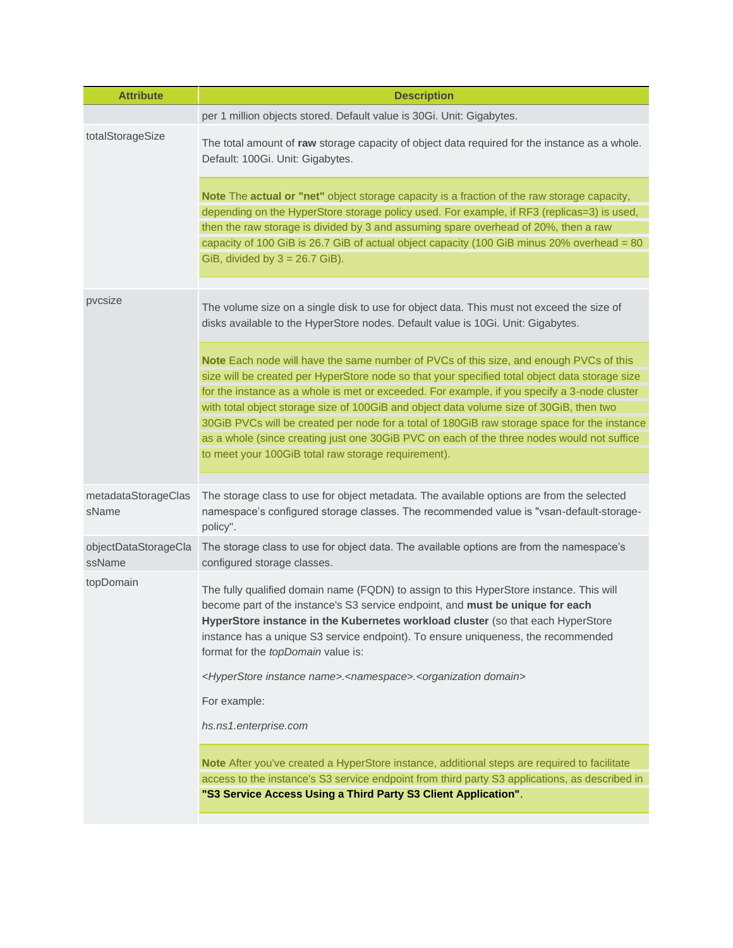| <b>Attribute</b>               | <b>Description</b>                                                                                                                                                                                                                                                                                                                                                                                                                                                                                                                                                                                                                       |
|--------------------------------|------------------------------------------------------------------------------------------------------------------------------------------------------------------------------------------------------------------------------------------------------------------------------------------------------------------------------------------------------------------------------------------------------------------------------------------------------------------------------------------------------------------------------------------------------------------------------------------------------------------------------------------|
|                                | per 1 million objects stored. Default value is 30Gi. Unit: Gigabytes.                                                                                                                                                                                                                                                                                                                                                                                                                                                                                                                                                                    |
| totalStorageSize               | The total amount of raw storage capacity of object data required for the instance as a whole.<br>Default: 100Gi. Unit: Gigabytes.                                                                                                                                                                                                                                                                                                                                                                                                                                                                                                        |
|                                | Note The actual or "net" object storage capacity is a fraction of the raw storage capacity,<br>depending on the HyperStore storage policy used. For example, if RF3 (replicas=3) is used,<br>then the raw storage is divided by 3 and assuming spare overhead of 20%, then a raw<br>capacity of 100 GiB is 26.7 GiB of actual object capacity (100 GiB minus 20% overhead = $80$<br>GiB, divided by $3 = 26.7$ GiB).                                                                                                                                                                                                                     |
| pvcsize                        | The volume size on a single disk to use for object data. This must not exceed the size of<br>disks available to the HyperStore nodes. Default value is 10Gi. Unit: Gigabytes.                                                                                                                                                                                                                                                                                                                                                                                                                                                            |
|                                | Note Each node will have the same number of PVCs of this size, and enough PVCs of this<br>size will be created per HyperStore node so that your specified total object data storage size<br>for the instance as a whole is met or exceeded. For example, if you specify a 3-node cluster<br>with total object storage size of 100GiB and object data volume size of 30GiB, then two<br>30GiB PVCs will be created per node for a total of 180GiB raw storage space for the instance<br>as a whole (since creating just one 30GiB PVC on each of the three nodes would not suffice<br>to meet your 100GiB total raw storage requirement). |
| metadataStorageClas<br>sName   | The storage class to use for object metadata. The available options are from the selected<br>namespace's configured storage classes. The recommended value is "vsan-default-storage-<br>policy".                                                                                                                                                                                                                                                                                                                                                                                                                                         |
| objectDataStorageCla<br>ssName | The storage class to use for object data. The available options are from the namespace's<br>configured storage classes.                                                                                                                                                                                                                                                                                                                                                                                                                                                                                                                  |
| topDomain                      | The fully qualified domain name (FQDN) to assign to this HyperStore instance. This will<br>become part of the instance's S3 service endpoint, and must be unique for each<br>HyperStore instance in the Kubernetes workload cluster (so that each HyperStore<br>instance has a unique S3 service endpoint). To ensure uniqueness, the recommended<br>format for the topDomain value is:                                                                                                                                                                                                                                                  |
|                                | <hyperstore instance="" name="">.<namespace>.<organization domain=""></organization></namespace></hyperstore>                                                                                                                                                                                                                                                                                                                                                                                                                                                                                                                            |
|                                | For example:                                                                                                                                                                                                                                                                                                                                                                                                                                                                                                                                                                                                                             |
|                                | hs.ns1.enterprise.com                                                                                                                                                                                                                                                                                                                                                                                                                                                                                                                                                                                                                    |
|                                | Note After you've created a HyperStore instance, additional steps are required to facilitate<br>access to the instance's S3 service endpoint from third party S3 applications, as described in<br>"S3 Service Access Using a Third Party S3 Client Application".                                                                                                                                                                                                                                                                                                                                                                         |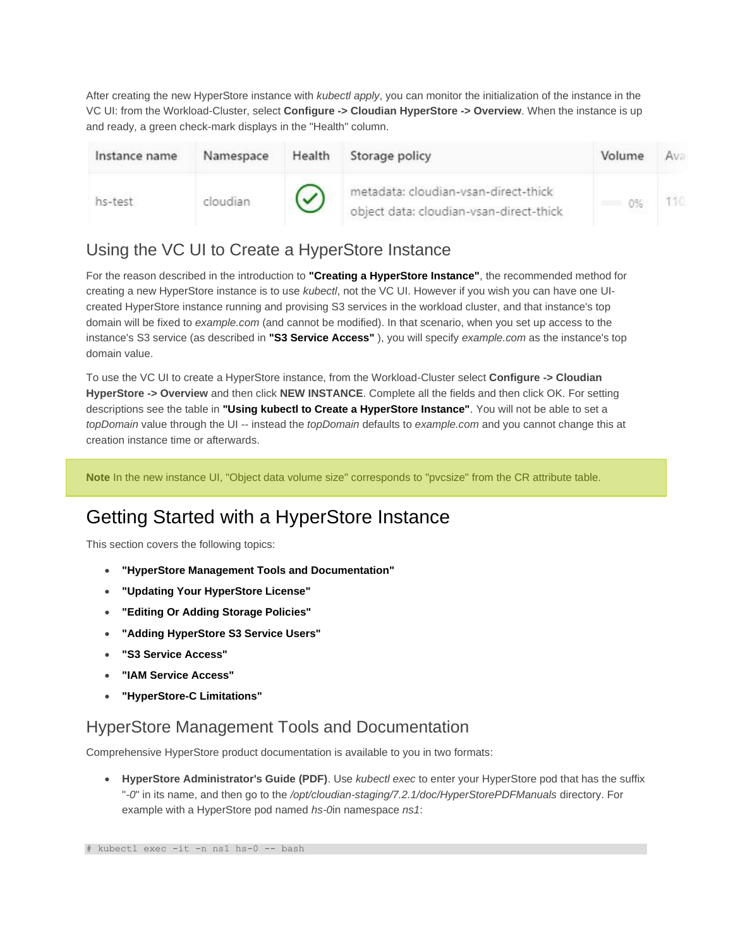After creating the new HyperStore instance with *kubectl apply*, you can monitor the initialization of the instance in the VC UI: from the Workload-Cluster, select **Configure -> Cloudian HyperStore -> Overview**. When the instance is up and ready, a green check-mark displays in the "Health" column.

| Instance name | Namespace | Health | Storage policy                                                                  | Volume |  |
|---------------|-----------|--------|---------------------------------------------------------------------------------|--------|--|
| hs-test       | cloudian  |        | metadata: cloudian-vsan-direct-thick<br>object data: cloudian-vsan-direct-thick | $0\%$  |  |

### Using the VC UI to Create a HyperStore Instance

For the reason described in the introduction to **"Creating a HyperStore Instance"**, the recommended method for creating a new HyperStore instance is to use *kubectl*, not the VC UI. However if you wish you can have one UIcreated HyperStore instance running and provising S3 services in the workload cluster, and that instance's top domain will be fixed to *example.com* (and cannot be modified). In that scenario, when you set up access to the instance's S3 service (as described in **"S3 Service Access"** ), you will specify *example.com* as the instance's top domain value.

To use the VC UI to create a HyperStore instance, from the Workload-Cluster select **Configure -> Cloudian HyperStore -> Overview** and then click **NEW INSTANCE**. Complete all the fields and then click OK. For setting descriptions see the table in **"Using kubectl to Create a HyperStore Instance"**. You will not be able to set a *topDomain* value through the UI -- instead the *topDomain* defaults to *example.com* and you cannot change this at creation instance time or afterwards.

**Note** In the new instance UI, "Object data volume size" corresponds to "pvcsize" from the CR attribute table.

## Getting Started with a HyperStore Instance

This section covers the following topics:

- **"HyperStore Management Tools and Documentation"**
- **"Updating Your HyperStore License"**
- **"Editing Or Adding Storage Policies"**
- **"Adding HyperStore S3 Service Users"**
- **"S3 Service Access"**
- **"IAM Service Access"**
- **"HyperStore-C Limitations"**

### HyperStore Management Tools and Documentation

Comprehensive HyperStore product documentation is available to you in two formats:

• **HyperStore Administrator's Guide (PDF)**. Use *kubectl exec* to enter your HyperStore pod that has the suffix "*-0*" in its name, and then go to the */opt/cloudian-staging/7.2.1/doc/HyperStorePDFManuals* directory. For example with a HyperStore pod named *hs-0*in namespace *ns1*: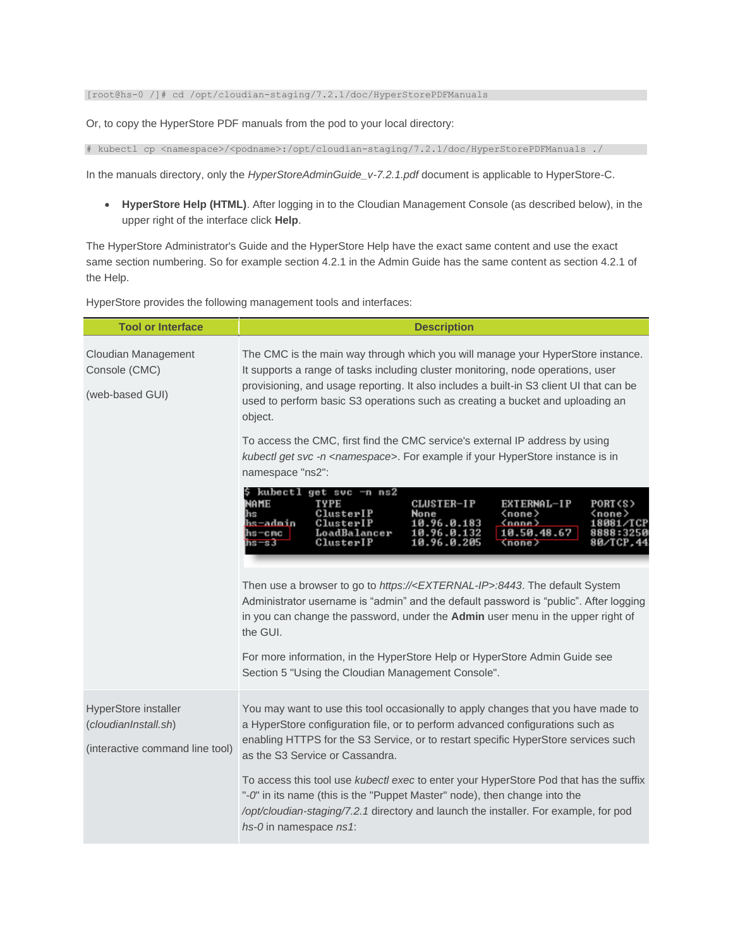#### [root@hs-0 /]# cd /opt/cloudian-staging/7.2.1/doc/HyperStorePDFManuals

Or, to copy the HyperStore PDF manuals from the pod to your local directory:

# kubectl cp <namespace>/<podname>:/opt/cloudian-staging/7.2.1/doc/HyperStorePDFManuals ./

In the manuals directory, only the *HyperStoreAdminGuide\_v-7.2.1.pdf* document is applicable to HyperStore-C.

• **HyperStore Help (HTML)**. After logging in to the Cloudian Management Console (as described below), in the upper right of the interface click **Help**.

The HyperStore Administrator's Guide and the HyperStore Help have the exact same content and use the exact same section numbering. So for example section 4.2.1 in the Admin Guide has the same content as section 4.2.1 of the Help.

HyperStore provides the following management tools and interfaces:

| <b>Tool or Interface</b>                                                        | <b>Description</b>                                                                                                                                                                                                                                                                                                                                          |
|---------------------------------------------------------------------------------|-------------------------------------------------------------------------------------------------------------------------------------------------------------------------------------------------------------------------------------------------------------------------------------------------------------------------------------------------------------|
| <b>Cloudian Management</b><br>Console (CMC)<br>(web-based GUI)                  | The CMC is the main way through which you will manage your HyperStore instance.<br>It supports a range of tasks including cluster monitoring, node operations, user<br>provisioning, and usage reporting. It also includes a built-in S3 client UI that can be<br>used to perform basic S3 operations such as creating a bucket and uploading an<br>object. |
|                                                                                 | To access the CMC, first find the CMC service's external IP address by using<br>kubectl get svc -n <namespace>. For example if your HyperStore instance is in<br/>namespace "ns2":</namespace>                                                                                                                                                              |
|                                                                                 | kubectl get svc —n ns2<br>CLUSTER-IP<br>NAME<br>TYPE<br>EXTERNAL-IP<br>PORT (S)<br>ClusterIP<br>(none)<br>None<br><none><br/>hs-admin<br/>ClusterIP<br/>(nnne)<br/>10.96.0.183<br/>1 8 0 8 1<br/>10.50.48.67<br/>LoadBalancer<br/>10.96.0.132<br/>hs—cmc<br/>ClusterIP<br/>10.96.0.205<br/>hs=s3<br/>80/ТСР.<br/><b>Knone</b></none>                        |
|                                                                                 | Then use a browser to go to https:// <external-ip>:8443. The default System<br/>Administrator username is "admin" and the default password is "public". After logging<br/>in you can change the password, under the Admin user menu in the upper right of<br/>the GUI.</external-ip>                                                                        |
|                                                                                 | For more information, in the HyperStore Help or HyperStore Admin Guide see<br>Section 5 "Using the Cloudian Management Console".                                                                                                                                                                                                                            |
| HyperStore installer<br>(cloudianInstall.sh)<br>(interactive command line tool) | You may want to use this tool occasionally to apply changes that you have made to<br>a HyperStore configuration file, or to perform advanced configurations such as<br>enabling HTTPS for the S3 Service, or to restart specific HyperStore services such<br>as the S3 Service or Cassandra.                                                                |
|                                                                                 | To access this tool use <i>kubectl exec</i> to enter your HyperStore Pod that has the suffix<br>"-0" in its name (this is the "Puppet Master" node), then change into the<br>/opt/cloudian-staging/7.2.1 directory and launch the installer. For example, for pod<br>hs-0 in namespace ns1:                                                                 |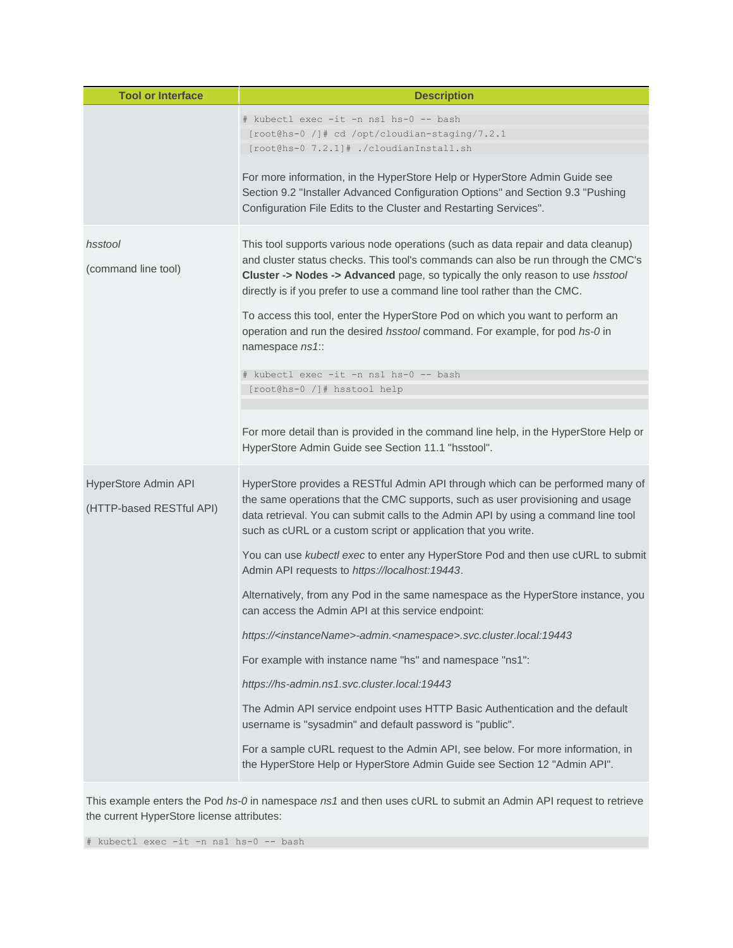| <b>Tool or Interface</b>                         | <b>Description</b>                                                                                                                                                                                                                                                                                                                                                                                                                                                                                                                                                                                                                                                                                                                                                                                                                                                                                                                                                                                                                                                                                                                       |
|--------------------------------------------------|------------------------------------------------------------------------------------------------------------------------------------------------------------------------------------------------------------------------------------------------------------------------------------------------------------------------------------------------------------------------------------------------------------------------------------------------------------------------------------------------------------------------------------------------------------------------------------------------------------------------------------------------------------------------------------------------------------------------------------------------------------------------------------------------------------------------------------------------------------------------------------------------------------------------------------------------------------------------------------------------------------------------------------------------------------------------------------------------------------------------------------------|
|                                                  | # kubectl exec -it -n ns1 hs-0 -- bash<br>[root@hs-0 /]# cd /opt/cloudian-staging/7.2.1<br>[root@hs-0 7.2.1]# ./cloudianInstall.sh<br>For more information, in the HyperStore Help or HyperStore Admin Guide see<br>Section 9.2 "Installer Advanced Configuration Options" and Section 9.3 "Pushing<br>Configuration File Edits to the Cluster and Restarting Services".                                                                                                                                                                                                                                                                                                                                                                                                                                                                                                                                                                                                                                                                                                                                                                 |
| hsstool<br>(command line tool)                   | This tool supports various node operations (such as data repair and data cleanup)<br>and cluster status checks. This tool's commands can also be run through the CMC's<br><b>Cluster -&gt; Nodes -&gt; Advanced</b> page, so typically the only reason to use <i>hsstool</i><br>directly is if you prefer to use a command line tool rather than the CMC.<br>To access this tool, enter the HyperStore Pod on which you want to perform an<br>operation and run the desired hsstool command. For example, for pod hs-0 in<br>namespace ns1::<br># kubectl exec -it -n ns1 hs-0 -- bash<br>[root@hs-0 /]# hsstool help<br>For more detail than is provided in the command line help, in the HyperStore Help or<br>HyperStore Admin Guide see Section 11.1 "hsstool".                                                                                                                                                                                                                                                                                                                                                                      |
| HyperStore Admin API<br>(HTTP-based RESTful API) | HyperStore provides a RESTful Admin API through which can be performed many of<br>the same operations that the CMC supports, such as user provisioning and usage<br>data retrieval. You can submit calls to the Admin API by using a command line tool<br>such as cURL or a custom script or application that you write.<br>You can use kubectl exec to enter any HyperStore Pod and then use cURL to submit<br>Admin API requests to https://localhost:19443.<br>Alternatively, from any Pod in the same namespace as the HyperStore instance, you<br>can access the Admin API at this service endpoint:<br>https:// <instancename>-admin.<namespace>.svc.cluster.local:19443<br/>For example with instance name "hs" and namespace "ns1":<br/>https://hs-admin.ns1.svc.cluster.local:19443<br/>The Admin API service endpoint uses HTTP Basic Authentication and the default<br/>username is "sysadmin" and default password is "public".<br/>For a sample cURL request to the Admin API, see below. For more information, in<br/>the HyperStore Help or HyperStore Admin Guide see Section 12 "Admin API".</namespace></instancename> |

This example enters the Pod *hs-0* in namespace *ns1* and then uses cURL to submit an Admin API request to retrieve the current HyperStore license attributes:

# kubectl exec -it -n ns1 hs-0 -- bash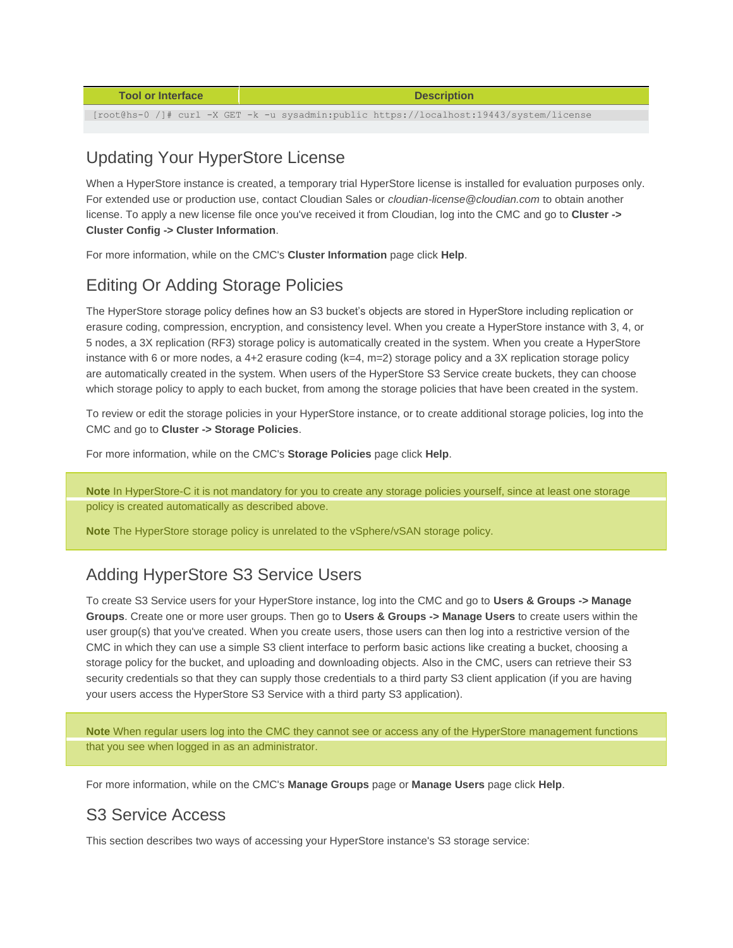| <b>Tool or Interface</b> | <b>Description</b>                                                                      |
|--------------------------|-----------------------------------------------------------------------------------------|
|                          |                                                                                         |
|                          | [root@hs-0 /]# curl -X GET -k -u sysadmin:public https://localhost:19443/system/license |

### Updating Your HyperStore License

When a HyperStore instance is created, a temporary trial HyperStore license is installed for evaluation purposes only. For extended use or production use, contact Cloudian Sales or *cloudian-license@cloudian.com* to obtain another license. To apply a new license file once you've received it from Cloudian, log into the CMC and go to **Cluster -> Cluster Config -> Cluster Information**.

For more information, while on the CMC's **Cluster Information** page click **Help**.

### Editing Or Adding Storage Policies

The HyperStore storage policy defines how an S3 bucket's objects are stored in HyperStore including replication or erasure coding, compression, encryption, and consistency level. When you create a HyperStore instance with 3, 4, or 5 nodes, a 3X replication (RF3) storage policy is automatically created in the system. When you create a HyperStore instance with 6 or more nodes, a 4+2 erasure coding (k=4, m=2) storage policy and a 3X replication storage policy are automatically created in the system. When users of the HyperStore S3 Service create buckets, they can choose which storage policy to apply to each bucket, from among the storage policies that have been created in the system.

To review or edit the storage policies in your HyperStore instance, or to create additional storage policies, log into the CMC and go to **Cluster -> Storage Policies**.

For more information, while on the CMC's **Storage Policies** page click **Help**.

**Note** In HyperStore-C it is not mandatory for you to create any storage policies yourself, since at least one storage policy is created automatically as described above.

**Note** The HyperStore storage policy is unrelated to the vSphere/vSAN storage policy.

### Adding HyperStore S3 Service Users

To create S3 Service users for your HyperStore instance, log into the CMC and go to **Users & Groups -> Manage Groups**. Create one or more user groups. Then go to **Users & Groups -> Manage Users** to create users within the user group(s) that you've created. When you create users, those users can then log into a restrictive version of the CMC in which they can use a simple S3 client interface to perform basic actions like creating a bucket, choosing a storage policy for the bucket, and uploading and downloading objects. Also in the CMC, users can retrieve their S3 security credentials so that they can supply those credentials to a third party S3 client application (if you are having your users access the HyperStore S3 Service with a third party S3 application).

**Note** When regular users log into the CMC they cannot see or access any of the HyperStore management functions that you see when logged in as an administrator.

For more information, while on the CMC's **Manage Groups** page or **Manage Users** page click **Help**.

### S3 Service Access

This section describes two ways of accessing your HyperStore instance's S3 storage service: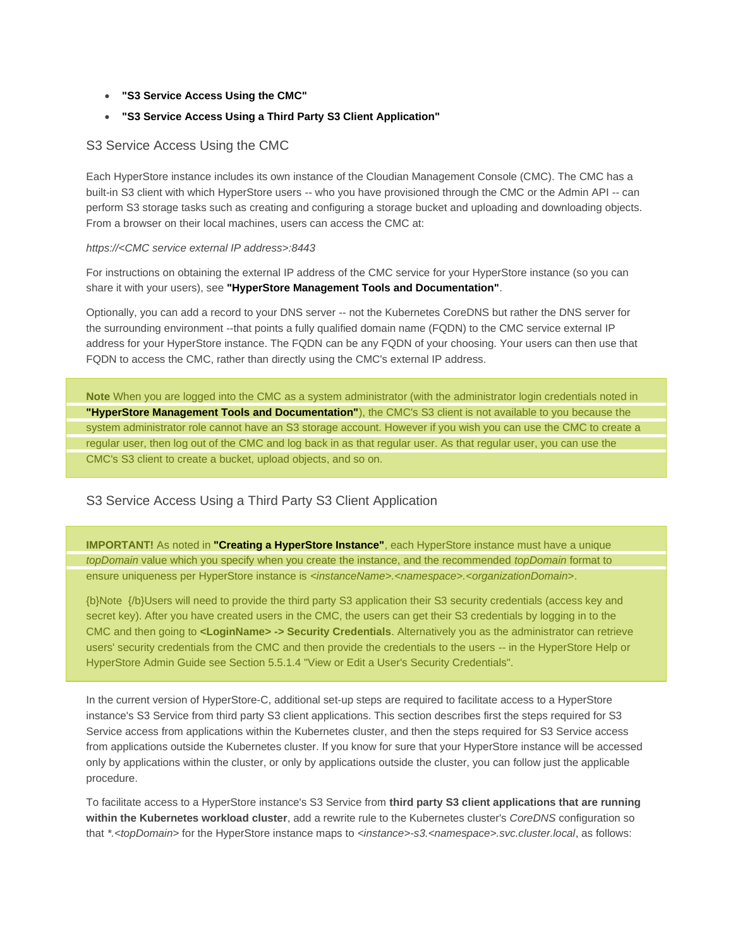- **"S3 Service Access Using the CMC"**
- **"S3 Service Access Using a Third Party S3 Client Application"**

#### S3 Service Access Using the CMC

Each HyperStore instance includes its own instance of the Cloudian Management Console (CMC). The CMC has a built-in S3 client with which HyperStore users -- who you have provisioned through the CMC or the Admin API -- can perform S3 storage tasks such as creating and configuring a storage bucket and uploading and downloading objects. From a browser on their local machines, users can access the CMC at:

#### *https://<CMC service external IP address>:8443*

For instructions on obtaining the external IP address of the CMC service for your HyperStore instance (so you can share it with your users), see **"HyperStore Management Tools and Documentation"**.

Optionally, you can add a record to your DNS server -- not the Kubernetes CoreDNS but rather the DNS server for the surrounding environment --that points a fully qualified domain name (FQDN) to the CMC service external IP address for your HyperStore instance. The FQDN can be any FQDN of your choosing. Your users can then use that FQDN to access the CMC, rather than directly using the CMC's external IP address.

**Note** When you are logged into the CMC as a system administrator (with the administrator login credentials noted in **"HyperStore Management Tools and Documentation"**), the CMC's S3 client is not available to you because the system administrator role cannot have an S3 storage account. However if you wish you can use the CMC to create a regular user, then log out of the CMC and log back in as that regular user. As that regular user, you can use the CMC's S3 client to create a bucket, upload objects, and so on.

#### S3 Service Access Using a Third Party S3 Client Application

**IMPORTANT!** As noted in **"Creating a HyperStore Instance"**, each HyperStore instance must have a unique *topDomain* value which you specify when you create the instance, and the recommended *topDomain* format to ensure uniqueness per HyperStore instance is *<instanceName>.<namespace>.<organizationDomain>*.

{b}Note {/b}Users will need to provide the third party S3 application their S3 security credentials (access key and secret key). After you have created users in the CMC, the users can get their S3 credentials by logging in to the CMC and then going to **<LoginName> -> Security Credentials**. Alternatively you as the administrator can retrieve users' security credentials from the CMC and then provide the credentials to the users -- in the HyperStore Help or HyperStore Admin Guide see Section 5.5.1.4 "View or Edit a User's Security Credentials".

In the current version of HyperStore-C, additional set-up steps are required to facilitate access to a HyperStore instance's S3 Service from third party S3 client applications. This section describes first the steps required for S3 Service access from applications within the Kubernetes cluster, and then the steps required for S3 Service access from applications outside the Kubernetes cluster. If you know for sure that your HyperStore instance will be accessed only by applications within the cluster, or only by applications outside the cluster, you can follow just the applicable procedure.

To facilitate access to a HyperStore instance's S3 Service from **third party S3 client applications that are running within the Kubernetes workload cluster**, add a rewrite rule to the Kubernetes cluster's *CoreDNS* configuration so that *\*.<topDomain>* for the HyperStore instance maps to *<instance>-s3.<namespace>.svc.cluster.local*, as follows: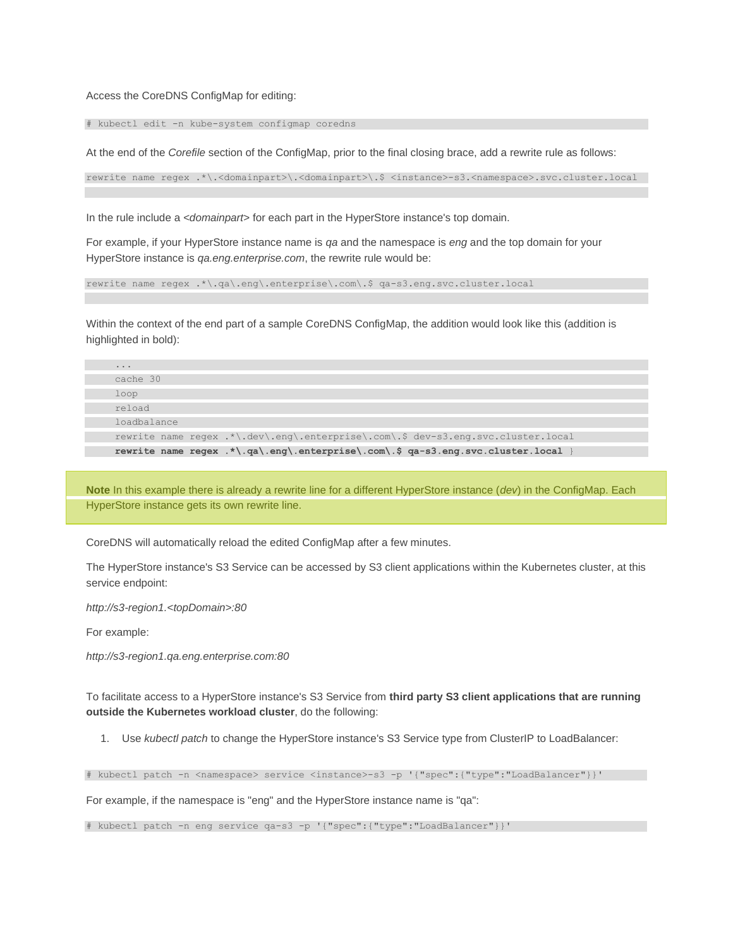Access the CoreDNS ConfigMap for editing:

# kubectl edit -n kube-system configmap coredns

At the end of the *Corefile* section of the ConfigMap, prior to the final closing brace, add a rewrite rule as follows:

rewrite name regex .\*\.<domainpart>\.<domainpart>\.\$ <instance>-s3.<namespace>.svc.cluster.local

In the rule include a *<domainpart>* for each part in the HyperStore instance's top domain.

For example, if your HyperStore instance name is *qa* and the namespace is *eng* and the top domain for your HyperStore instance is *qa.eng.enterprise.com*, the rewrite rule would be:

rewrite name regex .\*\.qa\.eng\.enterprise\.com\.\$ qa-s3.eng.svc.cluster.local

Within the context of the end part of a sample CoreDNS ConfigMap, the addition would look like this (addition is highlighted in bold):

| cache 30                                                                          |
|-----------------------------------------------------------------------------------|
|                                                                                   |
| loop                                                                              |
| reload                                                                            |
| loadbalance                                                                       |
| rewrite name regex .*\.dev\.eng\.enterprise\.com\.\$ dev-s3.eng.svc.cluster.local |
| rewrite name regex .*\.ga\.eng\.enterprise\.com\.\$ ga-s3.eng.svc.cluster.local   |

**Note** In this example there is already a rewrite line for a different HyperStore instance (*dev*) in the ConfigMap. Each HyperStore instance gets its own rewrite line.

CoreDNS will automatically reload the edited ConfigMap after a few minutes.

The HyperStore instance's S3 Service can be accessed by S3 client applications within the Kubernetes cluster, at this service endpoint:

*http://s3-region1.<topDomain>:80*

For example:

*http://s3-region1.qa.eng.enterprise.com:80*

To facilitate access to a HyperStore instance's S3 Service from **third party S3 client applications that are running outside the Kubernetes workload cluster**, do the following:

1. Use *kubectl patch* to change the HyperStore instance's S3 Service type from ClusterIP to LoadBalancer:

# kubectl patch -n <namespace> service <instance>-s3 -p '{"spec":{"type":"LoadBalancer"}}'

For example, if the namespace is "eng" and the HyperStore instance name is "qa":

# kubectl patch -n eng service qa-s3 -p '{"spec":{"type":"LoadBalancer"}}'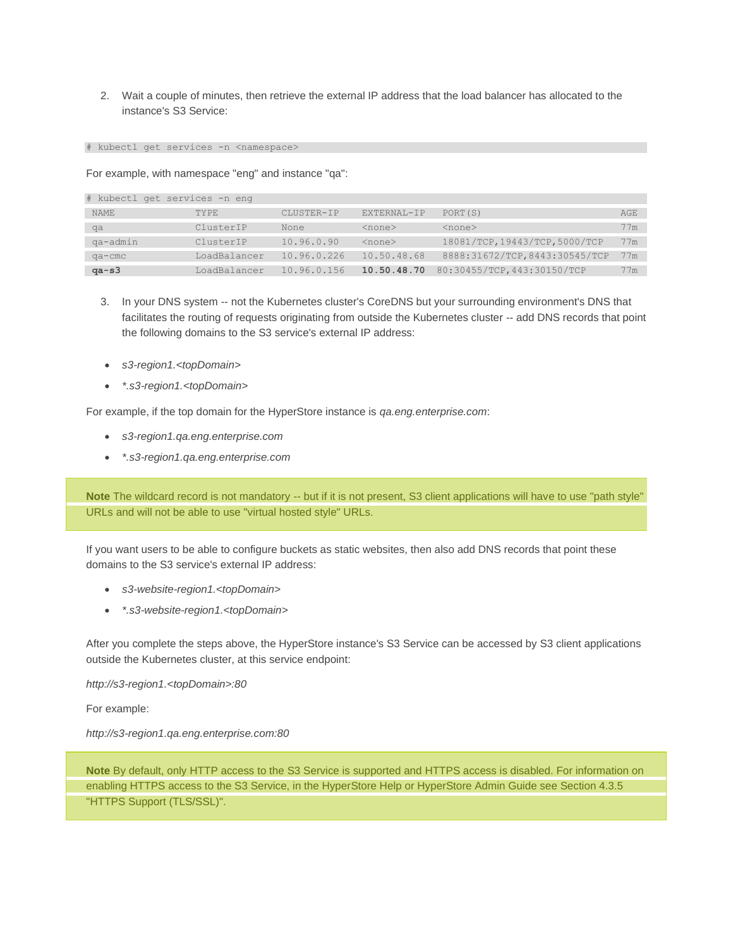2. Wait a couple of minutes, then retrieve the external IP address that the load balancer has allocated to the instance's S3 Service:

# kubectl get services -n <namespace>

For example, with namespace "eng" and instance "qa":

| # kubectl get services -n eng |                     |             |              |                                |     |  |
|-------------------------------|---------------------|-------------|--------------|--------------------------------|-----|--|
| <b>NAME</b>                   | TYPE.               | CLUSTER-IP  | EXTERNAL-IP  | PORT (S)                       | AGE |  |
| qa                            | ClusterTP           | None        | $<$ none $>$ | $<$ none $>$                   | 77m |  |
| qa-admin                      | ClusterTP           | 10.96.0.90  | $<$ none $>$ | 18081/TCP, 19443/TCP, 5000/TCP | 77m |  |
| qa-cmc                        | <b>LoadBalancer</b> | 10.96.0.226 | 10.50.48.68  | 8888:31672/TCP, 8443:30545/TCP | 77m |  |
| $qa-s3$                       | <b>LoadBalancer</b> | 10.96.0.156 | 10.50.48.70  | 80:30455/TCP, 443:30150/TCP    | 77m |  |

- 3. In your DNS system -- not the Kubernetes cluster's CoreDNS but your surrounding environment's DNS that facilitates the routing of requests originating from outside the Kubernetes cluster -- add DNS records that point the following domains to the S3 service's external IP address:
- *s3-region1.<topDomain>*
- *\*.s3-region1.<topDomain>*

For example, if the top domain for the HyperStore instance is *qa.eng.enterprise.com*:

- *s3-region1.qa.eng.enterprise.com*
- *\*.s3-region1.qa.eng.enterprise.com*

**Note** The wildcard record is not mandatory -- but if it is not present, S3 client applications will have to use "path style" URLs and will not be able to use "virtual hosted style" URLs.

If you want users to be able to configure buckets as static websites, then also add DNS records that point these domains to the S3 service's external IP address:

- *s3-website-region1.<topDomain>*
- *\*.s3-website-region1.<topDomain>*

After you complete the steps above, the HyperStore instance's S3 Service can be accessed by S3 client applications outside the Kubernetes cluster, at this service endpoint:

*http://s3-region1.<topDomain>:80*

For example:

*http://s3-region1.qa.eng.enterprise.com:80*

**Note** By default, only HTTP access to the S3 Service is supported and HTTPS access is disabled. For information on enabling HTTPS access to the S3 Service, in the HyperStore Help or HyperStore Admin Guide see Section 4.3.5 "HTTPS Support (TLS/SSL)".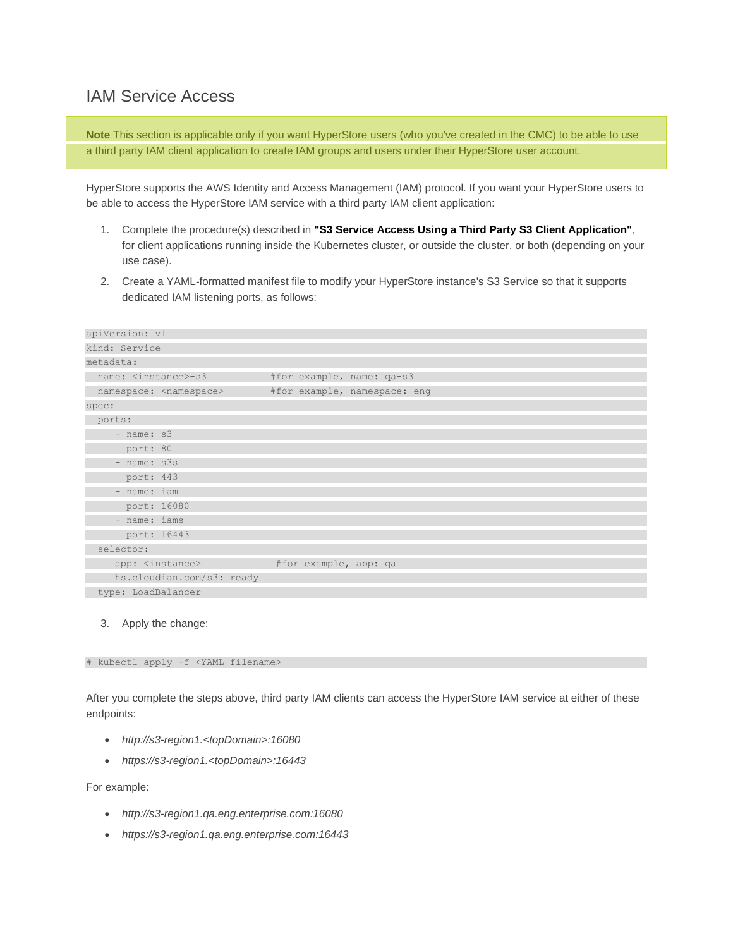#### IAM Service Access

**Note** This section is applicable only if you want HyperStore users (who you've created in the CMC) to be able to use a third party IAM client application to create IAM groups and users under their HyperStore user account.

HyperStore supports the AWS Identity and Access Management (IAM) protocol. If you want your HyperStore users to be able to access the HyperStore IAM service with a third party IAM client application:

- 1. Complete the procedure(s) described in **"S3 Service Access Using a Third Party S3 Client Application"**, for client applications running inside the Kubernetes cluster, or outside the cluster, or both (depending on your use case).
- 2. Create a YAML-formatted manifest file to modify your HyperStore instance's S3 Service so that it supports dedicated IAM listening ports, as follows:

| apiVersion: v1                 |                              |  |  |  |  |  |
|--------------------------------|------------------------------|--|--|--|--|--|
| kind: Service                  |                              |  |  |  |  |  |
| metadata:                      |                              |  |  |  |  |  |
| name: <instance>-s3</instance> | #for example, name: qa-s3    |  |  |  |  |  |
| namespace: < namespace>        | #for example, namespace: eng |  |  |  |  |  |
| spec:                          |                              |  |  |  |  |  |
| ports:                         |                              |  |  |  |  |  |
| $-$ name: $s3$                 |                              |  |  |  |  |  |
| port: 80                       |                              |  |  |  |  |  |
| - name: s3s                    |                              |  |  |  |  |  |
| port: 443                      |                              |  |  |  |  |  |
| - name: iam                    |                              |  |  |  |  |  |
| port: 16080                    |                              |  |  |  |  |  |
| - name: iams                   |                              |  |  |  |  |  |
| port: 16443                    |                              |  |  |  |  |  |
| selector:                      |                              |  |  |  |  |  |
| app: <instance></instance>     | #for example, app: qa        |  |  |  |  |  |
| hs.cloudian.com/s3: ready      |                              |  |  |  |  |  |
| type: LoadBalancer             |                              |  |  |  |  |  |

#### 3. Apply the change:

# kubectl apply -f <YAML filename>

After you complete the steps above, third party IAM clients can access the HyperStore IAM service at either of these endpoints:

- *http://s3-region1.<topDomain>:16080*
- *https://s3-region1.<topDomain>:16443*

For example:

- *http://s3-region1.qa.eng.enterprise.com:16080*
- *https://s3-region1.qa.eng.enterprise.com:16443*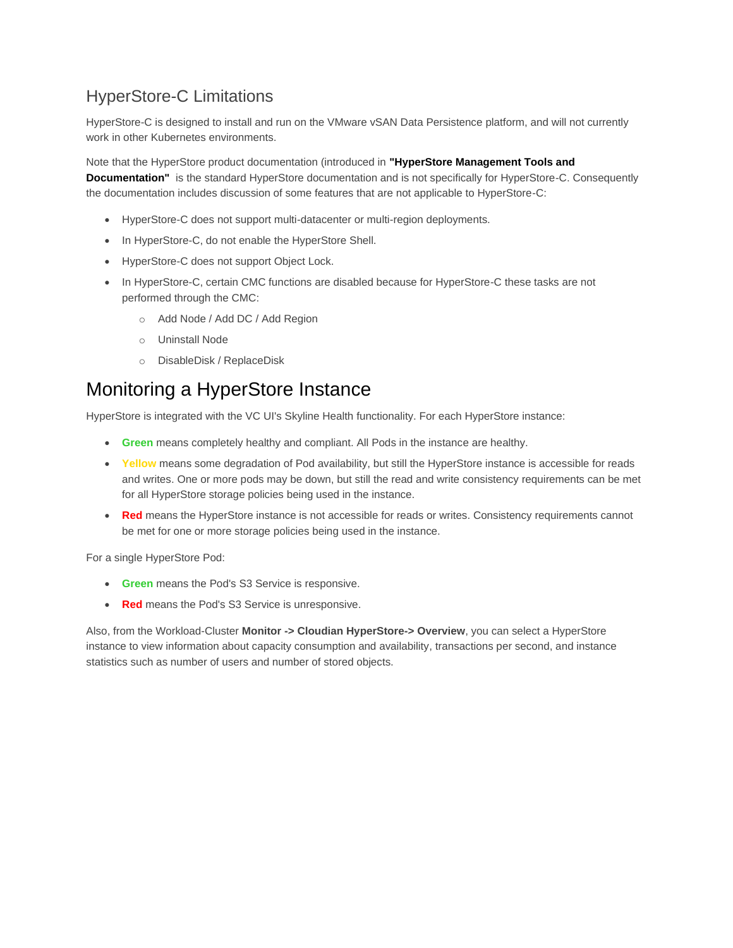## HyperStore-C Limitations

HyperStore-C is designed to install and run on the VMware vSAN Data Persistence platform, and will not currently work in other Kubernetes environments.

Note that the HyperStore product documentation (introduced in **"HyperStore Management Tools and Documentation"** is the standard HyperStore documentation and is not specifically for HyperStore-C. Consequently the documentation includes discussion of some features that are not applicable to HyperStore-C:

- HyperStore-C does not support multi-datacenter or multi-region deployments.
- In HyperStore-C, do not enable the HyperStore Shell.
- HyperStore-C does not support Object Lock.
- In HyperStore-C, certain CMC functions are disabled because for HyperStore-C these tasks are not performed through the CMC:
	- o Add Node / Add DC / Add Region
	- o Uninstall Node
	- o DisableDisk / ReplaceDisk

### Monitoring a HyperStore Instance

HyperStore is integrated with the VC UI's Skyline Health functionality. For each HyperStore instance:

- **Green** means completely healthy and compliant. All Pods in the instance are healthy.
- Yellow means some degradation of Pod availability, but still the HyperStore instance is accessible for reads and writes. One or more pods may be down, but still the read and write consistency requirements can be met for all HyperStore storage policies being used in the instance.
- **Red** means the HyperStore instance is not accessible for reads or writes. Consistency requirements cannot be met for one or more storage policies being used in the instance.

For a single HyperStore Pod:

- **Green** means the Pod's S3 Service is responsive.
- **Red** means the Pod's S3 Service is unresponsive.

Also, from the Workload-Cluster **Monitor -> Cloudian HyperStore-> Overview**, you can select a HyperStore instance to view information about capacity consumption and availability, transactions per second, and instance statistics such as number of users and number of stored objects.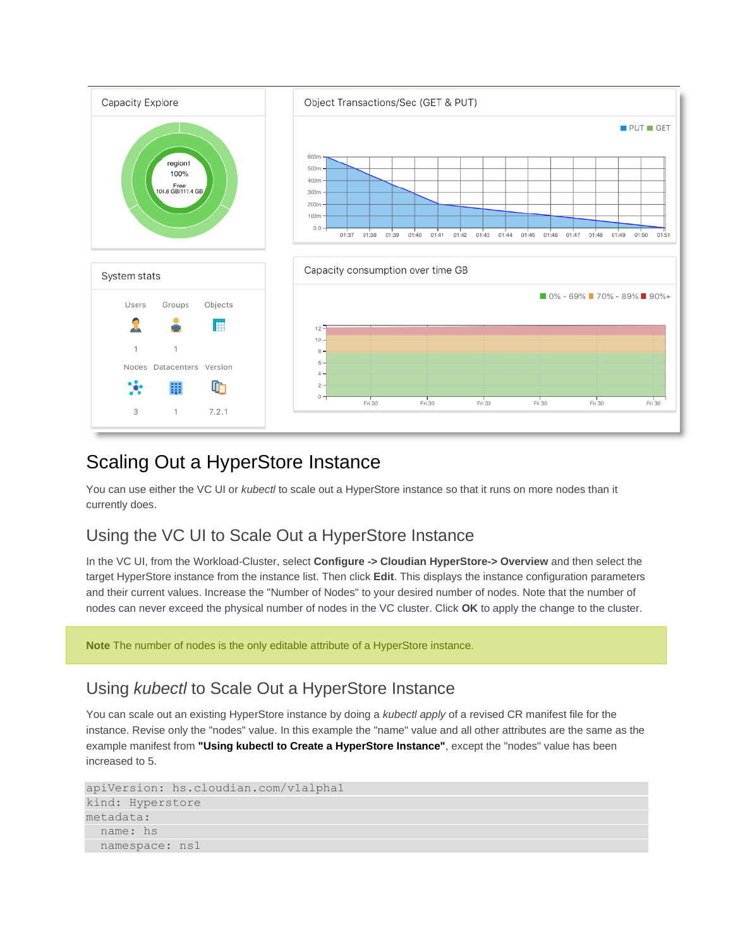

## Scaling Out a HyperStore Instance

You can use either the VC UI or *kubectl* to scale out a HyperStore instance so that it runs on more nodes than it currently does.

### Using the VC UI to Scale Out a HyperStore Instance

In the VC UI, from the Workload-Cluster, select **Configure -> Cloudian HyperStore-> Overview** and then select the target HyperStore instance from the instance list. Then click **Edit**. This displays the instance configuration parameters and their current values. Increase the "Number of Nodes" to your desired number of nodes. Note that the number of nodes can never exceed the physical number of nodes in the VC cluster. Click **OK** to apply the change to the cluster.

**Note** The number of nodes is the only editable attribute of a HyperStore instance.

#### Using *kubectl* to Scale Out a HyperStore Instance

You can scale out an existing HyperStore instance by doing a *kubectl apply* of a revised CR manifest file for the instance. Revise only the "nodes" value. In this example the "name" value and all other attributes are the same as the example manifest from **"Using kubectl to Create a HyperStore Instance"**, except the "nodes" value has been increased to 5.

```
apiVersion: hs.cloudian.com/v1alpha1
kind: Hyperstore
metadata:
   name: hs
   namespace: ns1
```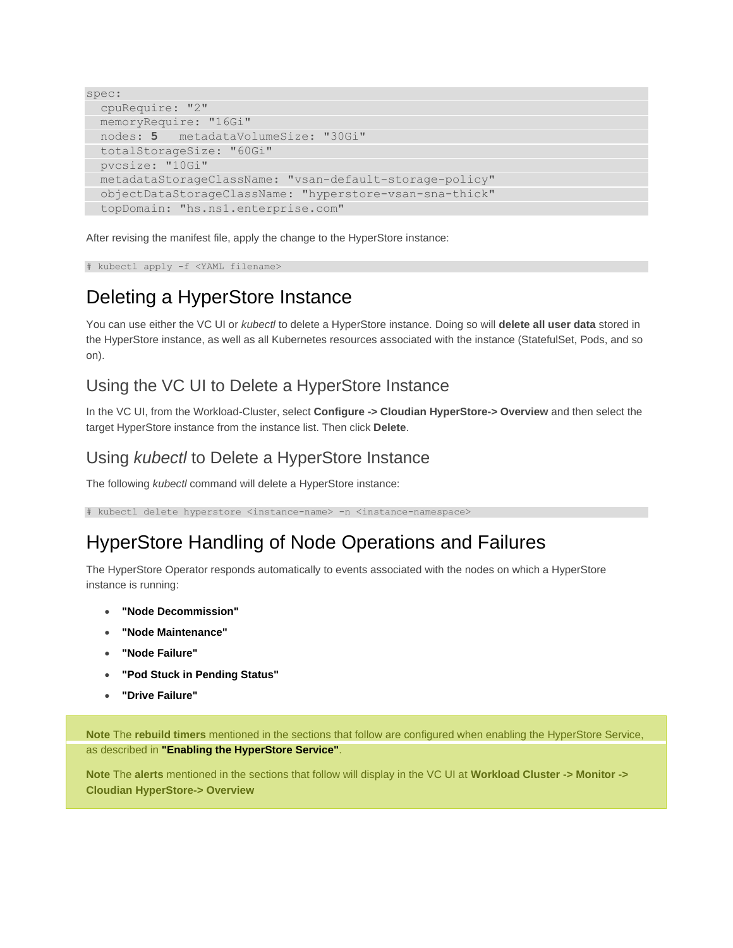```
spec:
  cpuRequire: "2"
  memoryRequire: "16Gi"
  nodes: 5 metadataVolumeSize: "30Gi"
  totalStorageSize: "60Gi"
  pvcsize: "10Gi"
  metadataStorageClassName: "vsan-default-storage-policy"
  objectDataStorageClassName: "hyperstore-vsan-sna-thick"
  topDomain: "hs.ns1.enterprise.com"
```
After revising the manifest file, apply the change to the HyperStore instance:

# kubectl apply -f <YAML filename>

## Deleting a HyperStore Instance

You can use either the VC UI or *kubectl* to delete a HyperStore instance. Doing so will **delete all user data** stored in the HyperStore instance, as well as all Kubernetes resources associated with the instance (StatefulSet, Pods, and so on).

### Using the VC UI to Delete a HyperStore Instance

In the VC UI, from the Workload-Cluster, select **Configure -> Cloudian HyperStore-> Overview** and then select the target HyperStore instance from the instance list. Then click **Delete**.

### Using *kubectl* to Delete a HyperStore Instance

The following *kubectl* command will delete a HyperStore instance:

# kubectl delete hyperstore <instance-name> -n <instance-namespace>

## HyperStore Handling of Node Operations and Failures

The HyperStore Operator responds automatically to events associated with the nodes on which a HyperStore instance is running:

- **"Node Decommission"**
- **"Node Maintenance"**
- **"Node Failure"**
- **"Pod Stuck in Pending Status"**
- **"Drive Failure"**

**Note** The **rebuild timers** mentioned in the sections that follow are configured when enabling the HyperStore Service, as described in **"Enabling the HyperStore Service"**.

**Note** The **alerts** mentioned in the sections that follow will display in the VC UI at **Workload Cluster -> Monitor -> Cloudian HyperStore-> Overview**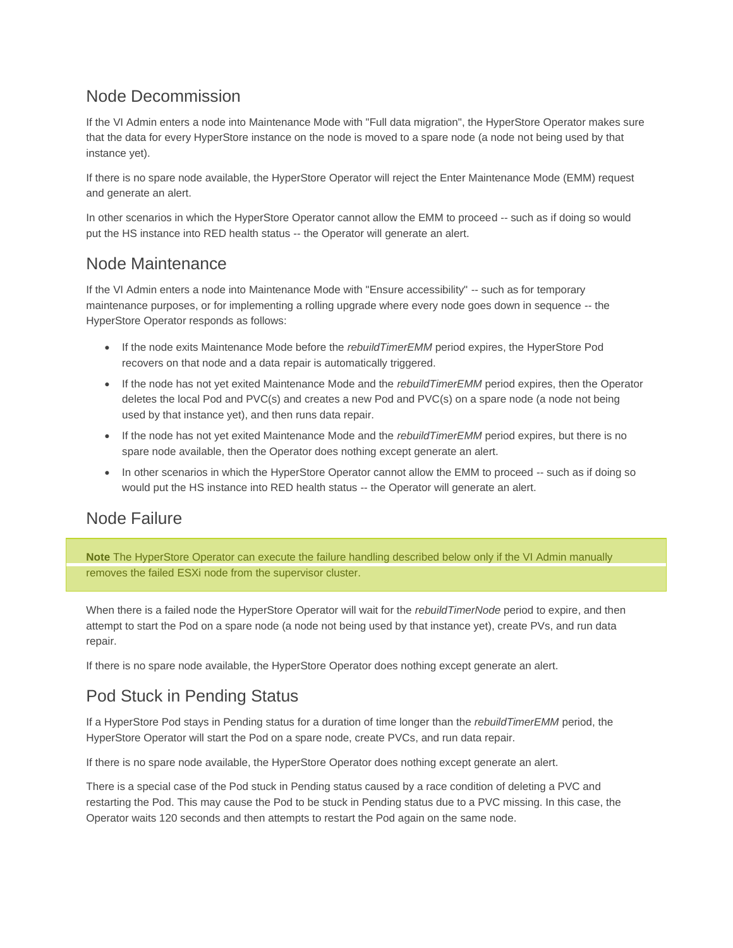### Node Decommission

If the VI Admin enters a node into Maintenance Mode with "Full data migration", the HyperStore Operator makes sure that the data for every HyperStore instance on the node is moved to a spare node (a node not being used by that instance yet).

If there is no spare node available, the HyperStore Operator will reject the Enter Maintenance Mode (EMM) request and generate an alert.

In other scenarios in which the HyperStore Operator cannot allow the EMM to proceed -- such as if doing so would put the HS instance into RED health status -- the Operator will generate an alert.

#### Node Maintenance

If the VI Admin enters a node into Maintenance Mode with "Ensure accessibility" -- such as for temporary maintenance purposes, or for implementing a rolling upgrade where every node goes down in sequence -- the HyperStore Operator responds as follows:

- If the node exits Maintenance Mode before the *rebuildTimerEMM* period expires, the HyperStore Pod recovers on that node and a data repair is automatically triggered.
- If the node has not yet exited Maintenance Mode and the *rebuildTimerEMM* period expires, then the Operator deletes the local Pod and PVC(s) and creates a new Pod and PVC(s) on a spare node (a node not being used by that instance yet), and then runs data repair.
- If the node has not yet exited Maintenance Mode and the *rebuildTimerEMM* period expires, but there is no spare node available, then the Operator does nothing except generate an alert.
- In other scenarios in which the HyperStore Operator cannot allow the EMM to proceed -- such as if doing so would put the HS instance into RED health status -- the Operator will generate an alert.

### Node Failure

**Note** The HyperStore Operator can execute the failure handling described below only if the VI Admin manually removes the failed ESXi node from the supervisor cluster.

When there is a failed node the HyperStore Operator will wait for the *rebuildTimerNode* period to expire, and then attempt to start the Pod on a spare node (a node not being used by that instance yet), create PVs, and run data repair.

If there is no spare node available, the HyperStore Operator does nothing except generate an alert.

### Pod Stuck in Pending Status

If a HyperStore Pod stays in Pending status for a duration of time longer than the *rebuildTimerEMM* period, the HyperStore Operator will start the Pod on a spare node, create PVCs, and run data repair.

If there is no spare node available, the HyperStore Operator does nothing except generate an alert.

There is a special case of the Pod stuck in Pending status caused by a race condition of deleting a PVC and restarting the Pod. This may cause the Pod to be stuck in Pending status due to a PVC missing. In this case, the Operator waits 120 seconds and then attempts to restart the Pod again on the same node.